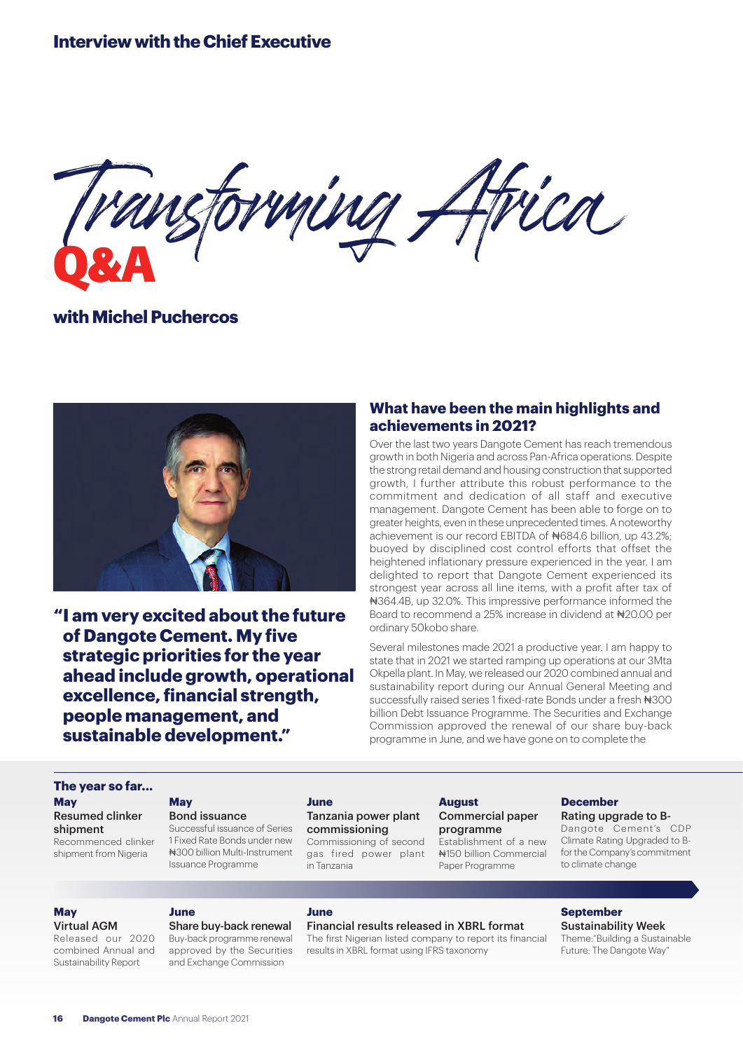# **Interview with the Chief Executive**

Transforming Africa **Q&A**

**with Michel Puchercos**



**"I am very excited about the future of Dangote Cement. My five strategic priorities for the year ahead include growth, operational excellence, financial strength, people management, and sustainable development."**

### **What have been the main highlights and achievements in 2021?**

Over the last two years Dangote Cement has reach tremendous growth in both Nigeria and across Pan-Africa operations. Despite the strong retail demand and housing construction that supported growth, I further attribute this robust performance to the commitment and dedication of all staff and executive management. Dangote Cement has been able to forge on to greater heights, even in these unprecedented times. A noteworthy achievement is our record EBITDA of #684.6 billion, up 43.2%; buoyed by disciplined cost control efforts that offset the heightened inflationary pressure experienced in the year. I am delighted to report that Dangote Cement experienced its strongest year across all line items, with a profit after tax of ₦364.4B, up 32.0%. This impressive performance informed the Board to recommend a 25% increase in dividend at ₦20.00 per ordinary 50kobo share.

Several milestones made 2021 a productive year. I am happy to state that in 2021 we started ramping up operations at our 3Mta Okpella plant. In May, we released our 2020 combined annual and sustainability report during our Annual General Meeting and successfully raised series 1 fixed-rate Bonds under a fresh  $\#300$ billion Debt Issuance Programme. The Securities and Exchange Commission approved the renewal of our share buy-back programme in June, and we have gone on to complete the

#### **The year so far... May**

Resumed clinker shipment Recommenced clinker shipment from Nigeria

### **May**

Bond issuance Successful issuance of Series 1 Fixed Rate Bonds under new ₦300 billion Multi-Instrument

Issuance Programme

#### **June**

#### Tanzania power plant commissioning

Commissioning of second gas fired power plant in Tanzania

**August** Commercial paper programme

Establishment of a new ₦150 billion Commercial Paper Programme

#### **December** Rating upgrade to B-

Dangote Cement's CDP Climate Rating Upgraded to Bfor the Company's commitment to climate change

#### **May**

Virtual AGM Released our 2020 combined Annual and

Sustainability Report

### **June**

Share buy-back renewal Buy-back programme renewal approved by the Securities and Exchange Commission

### **June**

### Financial results released in XBRL format

The first Nigerian listed company to report its financial results in XBRL format using IFRS taxonomy

# **September** Sustainability Week

Theme:"Building a Sustainable Future: The Dangote Way"